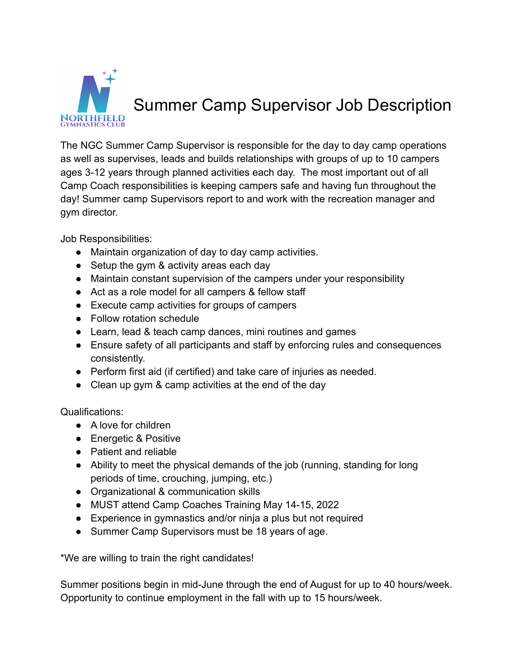

## Summer Camp Supervisor Job Description

The NGC Summer Camp Supervisor is responsible for the day to day camp operations as well as supervises, leads and builds relationships with groups of up to 10 campers ages 3-12 years through planned activities each day. The most important out of all Camp Coach responsibilities is keeping campers safe and having fun throughout the day! Summer camp Supervisors report to and work with the recreation manager and gym director.

Job Responsibilities:

- Maintain organization of day to day camp activities.
- Setup the gym & activity areas each day
- Maintain constant supervision of the campers under your responsibility
- Act as a role model for all campers & fellow staff
- Execute camp activities for groups of campers
- Follow rotation schedule
- Learn, lead & teach camp dances, mini routines and games
- Ensure safety of all participants and staff by enforcing rules and consequences consistently.
- Perform first aid (if certified) and take care of injuries as needed.
- Clean up gym & camp activities at the end of the day

Qualifications:

- A love for children
- Energetic & Positive
- Patient and reliable
- Ability to meet the physical demands of the job (running, standing for long periods of time, crouching, jumping, etc.)
- Organizational & communication skills
- MUST attend Camp Coaches Training May 14-15, 2022
- Experience in gymnastics and/or ninja a plus but not required
- Summer Camp Supervisors must be 18 years of age.

\*We are willing to train the right candidates!

Summer positions begin in mid-June through the end of August for up to 40 hours/week. Opportunity to continue employment in the fall with up to 15 hours/week.